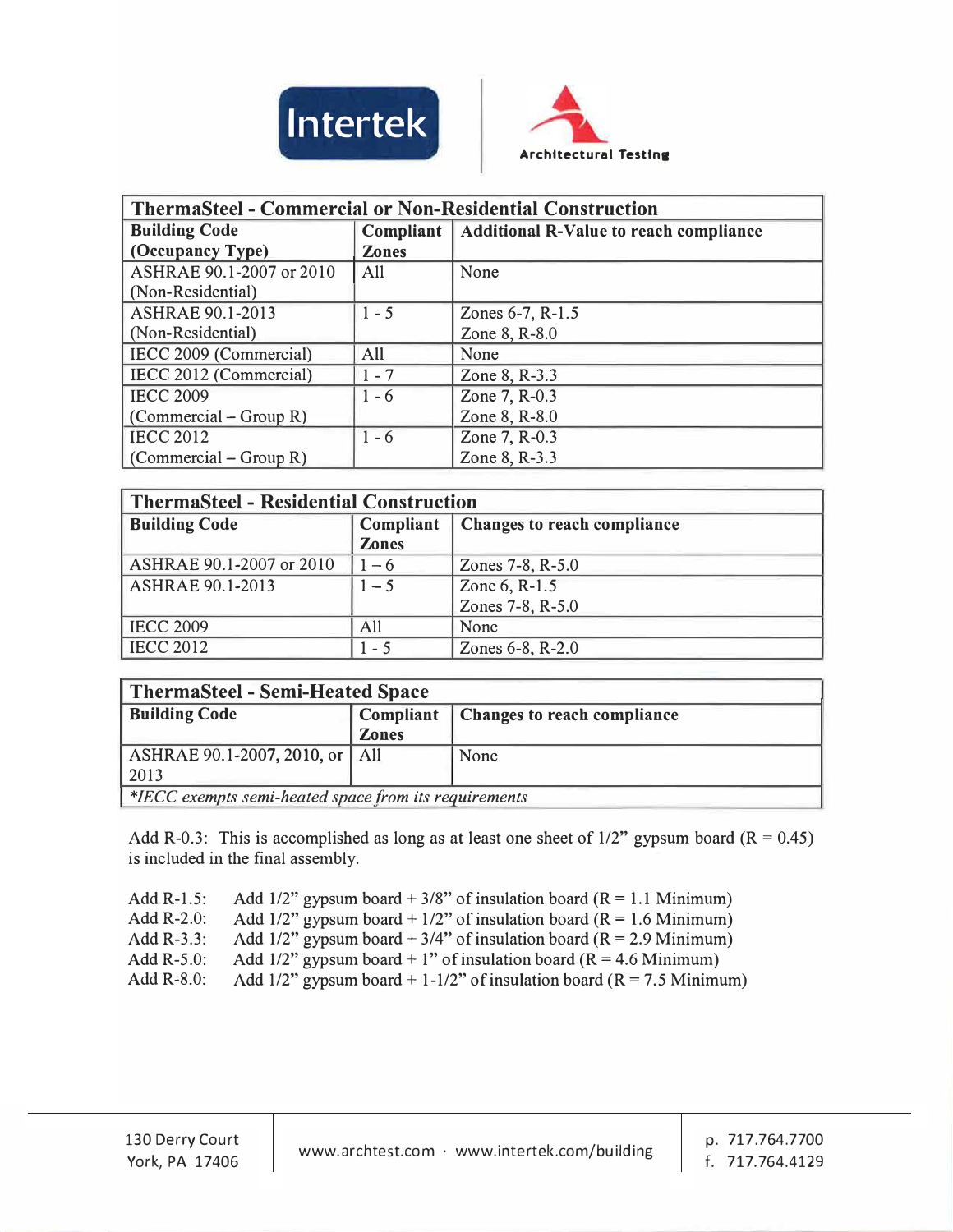



| <b>ThermaSteel - Commercial or Non-Residential Construction</b> |              |                                                           |  |
|-----------------------------------------------------------------|--------------|-----------------------------------------------------------|--|
| <b>Building Code</b>                                            |              | <b>Compliant</b>   Additional R-Value to reach compliance |  |
| (Occupancy Type)                                                | <b>Zones</b> |                                                           |  |
| ASHRAE 90.1-2007 or 2010                                        | All          | None                                                      |  |
| (Non-Residential)                                               |              |                                                           |  |
| <b>ASHRAE 90.1-2013</b>                                         | $1 - 5$      | Zones 6-7, R-1.5                                          |  |
| (Non-Residential)                                               |              | Zone 8, R-8.0                                             |  |
| IECC 2009 (Commercial)                                          | All          | None                                                      |  |
| IECC 2012 (Commercial)                                          | $1 - 7$      | Zone 8, R-3.3                                             |  |
| <b>IECC 2009</b>                                                | $1 - 6$      | Zone 7, R-0.3                                             |  |
| $(Commercial - Group R)$                                        |              | Zone 8, R-8.0                                             |  |
| <b>IECC 2012</b>                                                | $1 - 6$      | Zone 7, R-0.3                                             |  |
| $(Commercial - Group R)$                                        |              | Zone 8, R-3.3                                             |  |

| <b>ThermaSteel - Residential Construction</b> |              |                             |  |
|-----------------------------------------------|--------------|-----------------------------|--|
| <b>Building Code</b>                          | Compliant    | Changes to reach compliance |  |
|                                               | <b>Zones</b> |                             |  |
| ASHRAE 90.1-2007 or 2010                      | $-6$         | Zones 7-8, R-5.0            |  |
| <b>ASHRAE 90.1-2013</b>                       | $1 - 5$      | Zone 6, R-1.5               |  |
|                                               |              | Zones 7-8, R-5.0            |  |
| <b>IECC 2009</b>                              | All          | None                        |  |
| <b>IECC 2012</b>                              | $1 - 5$      | Zones 6-8, R-2.0            |  |

| <b>ThermaSteel - Semi-Heated Space</b>                |                  |                             |  |
|-------------------------------------------------------|------------------|-----------------------------|--|
| <b>Building Code</b>                                  | <b>Compliant</b> | Changes to reach compliance |  |
|                                                       | <b>Zones</b>     |                             |  |
| ASHRAE 90.1-2007, 2010, or   All                      |                  | None                        |  |
| 2013                                                  |                  |                             |  |
| *IECC exempts semi-heated space from its requirements |                  |                             |  |

Add R-0.3: This is accomplished as long as at least one sheet of  $1/2$ " gypsum board (R = 0.45) is included in the final assembly.

Add R-1.5: Add  $1/2$ " gypsum board + 3/8" of insulation board (R = 1.1 Minimum)

Add R-2.0: Add 1/2" gypsum board + 1/2" of insulation board  $(R = 1.6$  Minimum)

Add R-3.3: Add  $1/2$ " gypsum board + 3/4" of insulation board (R = 2.9 Minimum)

Add R-5.0: Add 1/2" gypsum board + 1" of insulation board ( $\overline{R}$  = 4.6 Minimum)

Add R-8.0: Add  $1/2$ " gypsum board + 1-1/2" of insulation board (R = 7.5 Minimum)